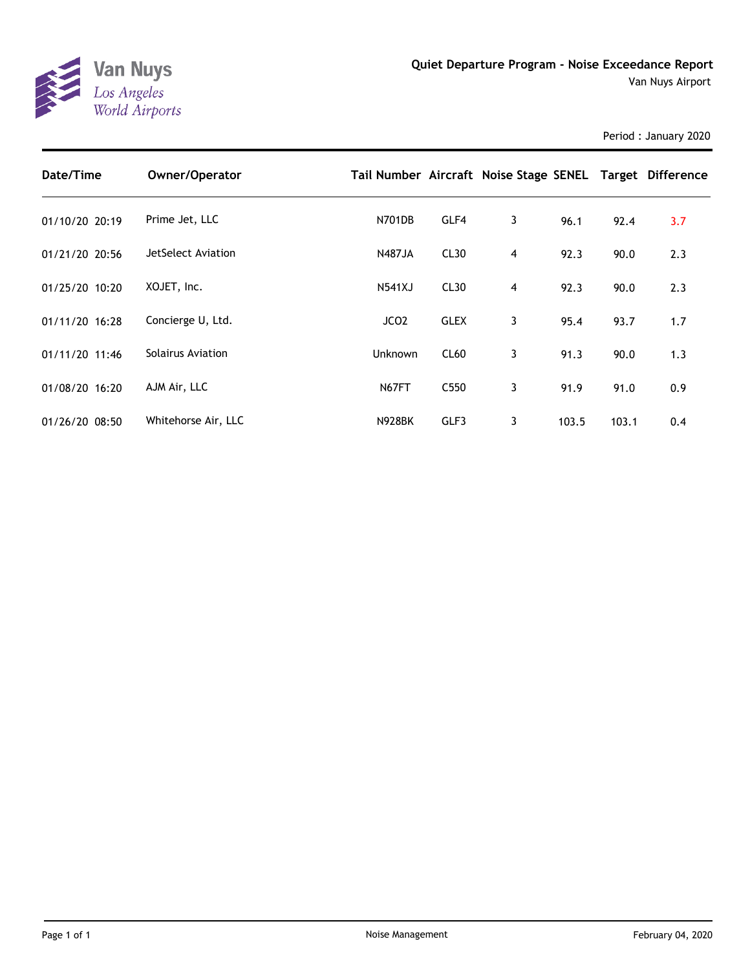

Period : January 2020

| Date/Time      | Owner/Operator           | Tail Number Aircraft Noise Stage SENEL Target Difference |                  |   |       |       |     |
|----------------|--------------------------|----------------------------------------------------------|------------------|---|-------|-------|-----|
| 01/10/20 20:19 | Prime Jet, LLC           | N701DB                                                   | GLF4             | 3 | 96.1  | 92.4  | 3.7 |
| 01/21/20 20:56 | JetSelect Aviation       | <b>N487JA</b>                                            | CL30             | 4 | 92.3  | 90.0  | 2.3 |
| 01/25/20 10:20 | XOJET, Inc.              | <b>N541XJ</b>                                            | CL30             | 4 | 92.3  | 90.0  | 2.3 |
| 01/11/20 16:28 | Concierge U, Ltd.        | JCO <sub>2</sub>                                         | <b>GLEX</b>      | 3 | 95.4  | 93.7  | 1.7 |
| 01/11/20 11:46 | <b>Solairus Aviation</b> | Unknown                                                  | CL60             | 3 | 91.3  | 90.0  | 1.3 |
| 01/08/20 16:20 | AJM Air, LLC             | N67FT                                                    | C <sub>550</sub> | 3 | 91.9  | 91.0  | 0.9 |
| 01/26/20 08:50 | Whitehorse Air, LLC      | <b>N928BK</b>                                            | GLF3             | 3 | 103.5 | 103.1 | 0.4 |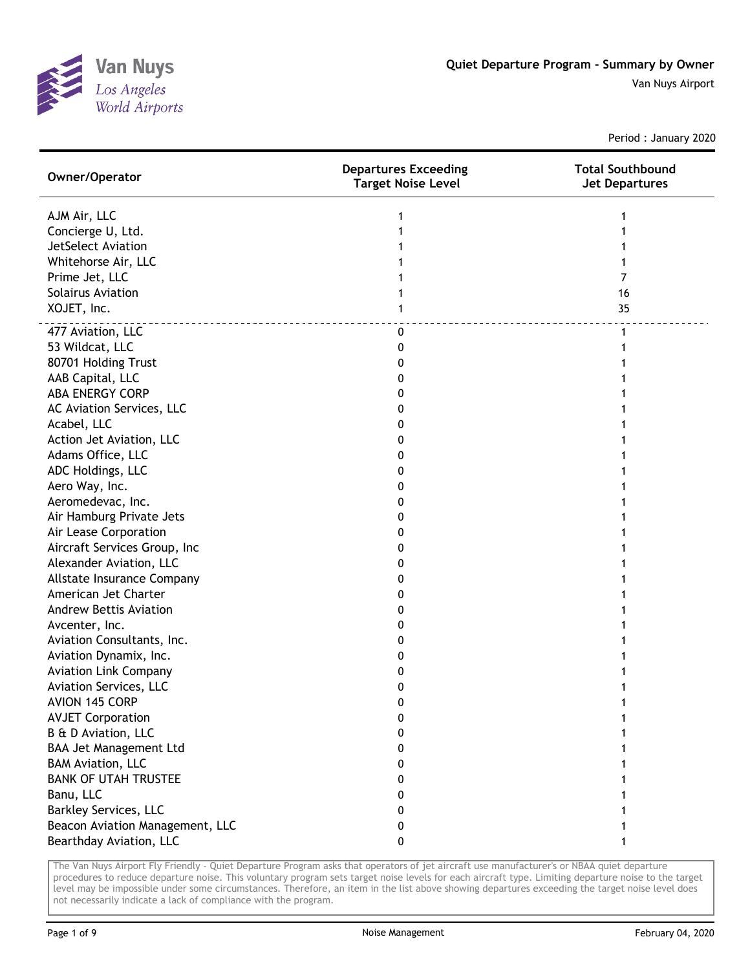

Period : January 2020

| Owner/Operator                  | <b>Departures Exceeding</b><br><b>Target Noise Level</b> | <b>Total Southbound</b><br><b>Jet Departures</b> |
|---------------------------------|----------------------------------------------------------|--------------------------------------------------|
| AJM Air, LLC                    |                                                          |                                                  |
| Concierge U, Ltd.               |                                                          |                                                  |
| JetSelect Aviation              |                                                          |                                                  |
| Whitehorse Air, LLC             |                                                          |                                                  |
| Prime Jet, LLC                  |                                                          | 7                                                |
| Solairus Aviation               |                                                          | 16                                               |
| XOJET, Inc.                     |                                                          | 35                                               |
| 477 Aviation, LLC               | 0                                                        | 1                                                |
| 53 Wildcat, LLC                 | 0                                                        |                                                  |
| 80701 Holding Trust             | 0                                                        |                                                  |
| AAB Capital, LLC                | 0                                                        |                                                  |
| <b>ABA ENERGY CORP</b>          | 0                                                        |                                                  |
| AC Aviation Services, LLC       | 0                                                        |                                                  |
| Acabel, LLC                     | 0                                                        |                                                  |
| Action Jet Aviation, LLC        | 0                                                        |                                                  |
| Adams Office, LLC               | 0                                                        |                                                  |
| ADC Holdings, LLC               | 0                                                        |                                                  |
| Aero Way, Inc.                  | 0                                                        |                                                  |
| Aeromedevac, Inc.               | 0                                                        |                                                  |
| Air Hamburg Private Jets        | 0                                                        |                                                  |
| Air Lease Corporation           | 0                                                        |                                                  |
| Aircraft Services Group, Inc    | 0                                                        |                                                  |
| Alexander Aviation, LLC         | 0                                                        |                                                  |
| Allstate Insurance Company      | 0                                                        |                                                  |
| American Jet Charter            | 0                                                        |                                                  |
| <b>Andrew Bettis Aviation</b>   | 0                                                        |                                                  |
| Avcenter, Inc.                  | 0                                                        |                                                  |
| Aviation Consultants, Inc.      | 0                                                        |                                                  |
| Aviation Dynamix, Inc.          | 0                                                        |                                                  |
| <b>Aviation Link Company</b>    | 0                                                        |                                                  |
| Aviation Services, LLC          | 0                                                        |                                                  |
| <b>AVION 145 CORP</b>           | ŋ                                                        |                                                  |
| <b>AVJET Corporation</b>        | 0                                                        |                                                  |
| B & D Aviation, LLC             | 0                                                        |                                                  |
| <b>BAA Jet Management Ltd</b>   | 0                                                        |                                                  |
| <b>BAM Aviation, LLC</b>        | 0                                                        |                                                  |
| <b>BANK OF UTAH TRUSTEE</b>     | 0                                                        |                                                  |
| Banu, LLC                       | 0                                                        |                                                  |
| <b>Barkley Services, LLC</b>    | 0                                                        |                                                  |
| Beacon Aviation Management, LLC | 0                                                        |                                                  |
| Bearthday Aviation, LLC         | 0                                                        |                                                  |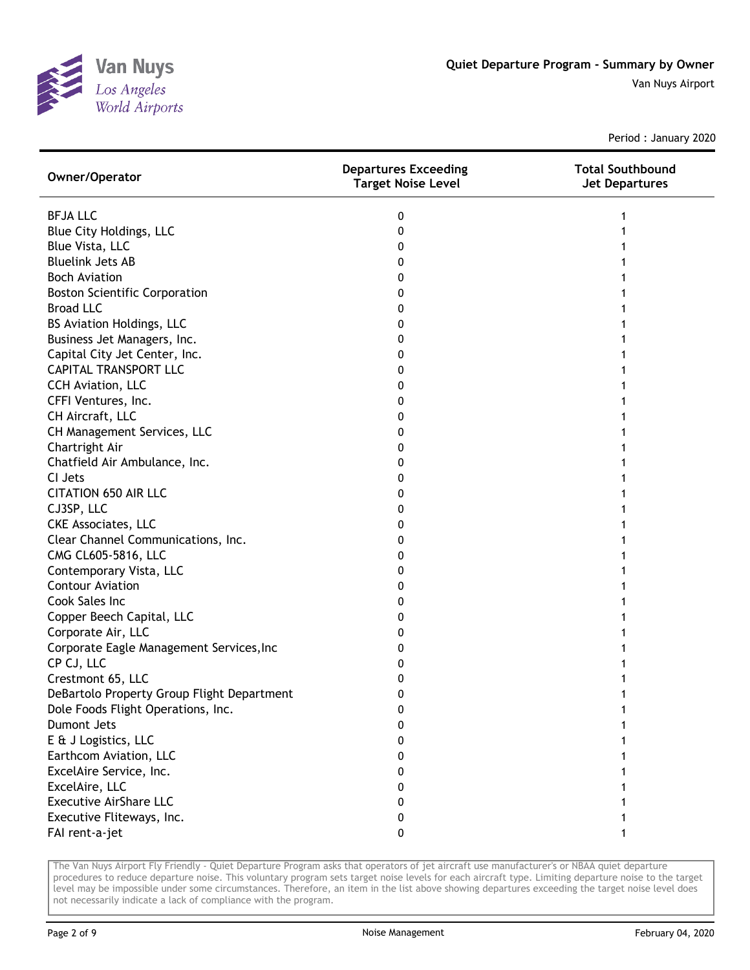

Period : January 2020

| Owner/Operator                             | <b>Departures Exceeding</b><br><b>Target Noise Level</b> | <b>Total Southbound</b><br><b>Jet Departures</b> |
|--------------------------------------------|----------------------------------------------------------|--------------------------------------------------|
| <b>BFJALLC</b>                             | 0                                                        |                                                  |
| Blue City Holdings, LLC                    | 0                                                        |                                                  |
| Blue Vista, LLC                            | 0                                                        |                                                  |
| <b>Bluelink Jets AB</b>                    | 0                                                        |                                                  |
| <b>Boch Aviation</b>                       | 0                                                        |                                                  |
| <b>Boston Scientific Corporation</b>       | 0                                                        |                                                  |
| <b>Broad LLC</b>                           | 0                                                        |                                                  |
| BS Aviation Holdings, LLC                  | 0                                                        |                                                  |
| Business Jet Managers, Inc.                | 0                                                        |                                                  |
| Capital City Jet Center, Inc.              | 0                                                        |                                                  |
| <b>CAPITAL TRANSPORT LLC</b>               | 0                                                        |                                                  |
| CCH Aviation, LLC                          | 0                                                        |                                                  |
| CFFI Ventures, Inc.                        | 0                                                        |                                                  |
| CH Aircraft, LLC                           | 0                                                        |                                                  |
| CH Management Services, LLC                | 0                                                        |                                                  |
| Chartright Air                             | 0                                                        |                                                  |
| Chatfield Air Ambulance, Inc.              | 0                                                        |                                                  |
| CI Jets                                    | 0                                                        |                                                  |
| <b>CITATION 650 AIR LLC</b>                | 0                                                        |                                                  |
| CJ3SP, LLC                                 | 0                                                        |                                                  |
| <b>CKE Associates, LLC</b>                 | 0                                                        |                                                  |
| Clear Channel Communications, Inc.         | 0                                                        |                                                  |
| CMG CL605-5816, LLC                        | 0                                                        |                                                  |
| Contemporary Vista, LLC                    | 0                                                        |                                                  |
| <b>Contour Aviation</b>                    | 0                                                        |                                                  |
| Cook Sales Inc                             | 0                                                        |                                                  |
| Copper Beech Capital, LLC                  | 0                                                        |                                                  |
| Corporate Air, LLC                         | 0                                                        |                                                  |
| Corporate Eagle Management Services, Inc   | 0                                                        |                                                  |
| CP CJ, LLC                                 | 0                                                        |                                                  |
| Crestmont 65, LLC                          | 0                                                        |                                                  |
| DeBartolo Property Group Flight Department | 0                                                        |                                                  |
| Dole Foods Flight Operations, Inc.         | 0                                                        |                                                  |
| Dumont Jets                                | 0                                                        |                                                  |
| E & J Logistics, LLC                       | 0                                                        |                                                  |
| Earthcom Aviation, LLC                     | 0                                                        |                                                  |
| ExcelAire Service, Inc.                    | 0                                                        |                                                  |
| ExcelAire, LLC                             | 0                                                        |                                                  |
| <b>Executive AirShare LLC</b>              | 0                                                        |                                                  |
| Executive Fliteways, Inc.                  | 0                                                        |                                                  |
| FAI rent-a-jet                             | 0                                                        |                                                  |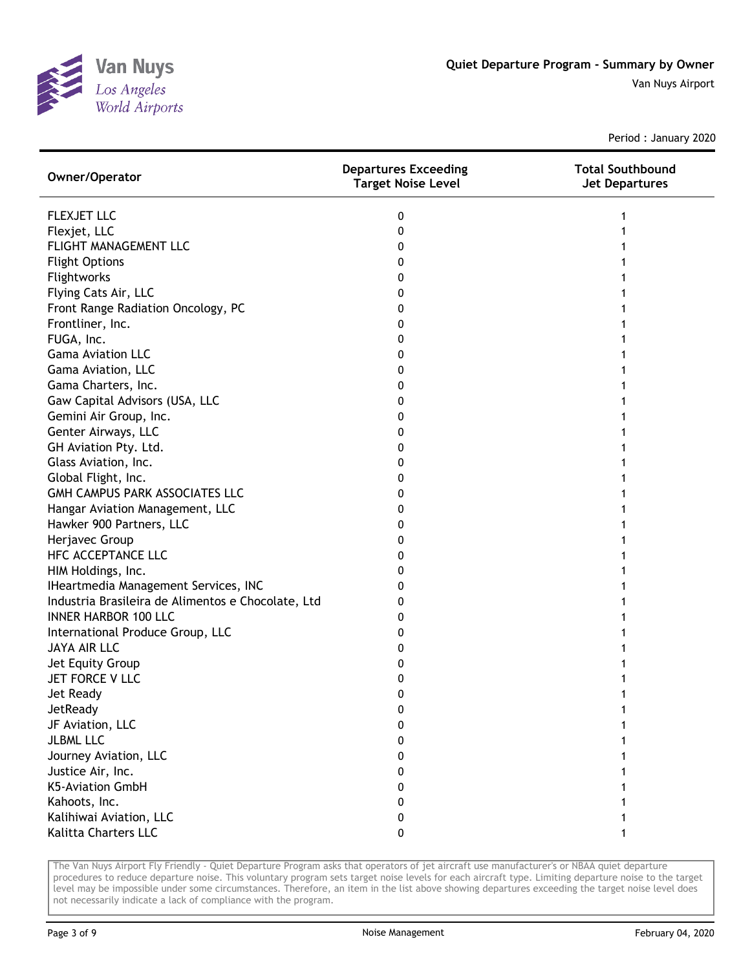

Period : January 2020

| Owner/Operator                                     | <b>Departures Exceeding</b><br><b>Target Noise Level</b> | <b>Total Southbound</b><br><b>Jet Departures</b> |
|----------------------------------------------------|----------------------------------------------------------|--------------------------------------------------|
| <b>FLEXJET LLC</b>                                 | 0                                                        |                                                  |
| Flexjet, LLC                                       | 0                                                        |                                                  |
| <b>FLIGHT MANAGEMENT LLC</b>                       | 0                                                        |                                                  |
| <b>Flight Options</b>                              | 0                                                        |                                                  |
| Flightworks                                        | 0                                                        |                                                  |
| Flying Cats Air, LLC                               | 0                                                        |                                                  |
| Front Range Radiation Oncology, PC                 | 0                                                        |                                                  |
| Frontliner, Inc.                                   | 0                                                        |                                                  |
| FUGA, Inc.                                         | 0                                                        |                                                  |
| <b>Gama Aviation LLC</b>                           | 0                                                        |                                                  |
| Gama Aviation, LLC                                 | 0                                                        |                                                  |
| Gama Charters, Inc.                                | 0                                                        |                                                  |
| Gaw Capital Advisors (USA, LLC                     | 0                                                        |                                                  |
| Gemini Air Group, Inc.                             | 0                                                        |                                                  |
| Genter Airways, LLC                                | 0                                                        |                                                  |
| GH Aviation Pty. Ltd.                              | 0                                                        |                                                  |
| Glass Aviation, Inc.                               | 0                                                        |                                                  |
| Global Flight, Inc.                                | 0                                                        |                                                  |
| GMH CAMPUS PARK ASSOCIATES LLC                     | 0                                                        |                                                  |
| Hangar Aviation Management, LLC                    | 0                                                        |                                                  |
| Hawker 900 Partners, LLC                           | 0                                                        |                                                  |
| Herjavec Group                                     | 0                                                        |                                                  |
| HFC ACCEPTANCE LLC                                 | 0                                                        |                                                  |
| HIM Holdings, Inc.                                 | 0                                                        |                                                  |
| IHeartmedia Management Services, INC               | 0                                                        |                                                  |
| Industria Brasileira de Alimentos e Chocolate, Ltd | 0                                                        |                                                  |
| <b>INNER HARBOR 100 LLC</b>                        | 0                                                        |                                                  |
| International Produce Group, LLC                   | 0                                                        |                                                  |
| <b>JAYA AIR LLC</b>                                | 0                                                        |                                                  |
| Jet Equity Group                                   | 0                                                        |                                                  |
| JET FORCE V LLC                                    | 0                                                        |                                                  |
| Jet Ready                                          | 0                                                        |                                                  |
| <b>JetReady</b>                                    | 0                                                        |                                                  |
| JF Aviation, LLC                                   | 0                                                        |                                                  |
| <b>JLBML LLC</b>                                   | 0                                                        |                                                  |
| Journey Aviation, LLC                              | 0                                                        |                                                  |
| Justice Air, Inc.                                  | 0                                                        |                                                  |
| K5-Aviation GmbH                                   | 0                                                        |                                                  |
| Kahoots, Inc.                                      | 0                                                        |                                                  |
| Kalihiwai Aviation, LLC                            | 0                                                        |                                                  |
| Kalitta Charters LLC                               | 0                                                        |                                                  |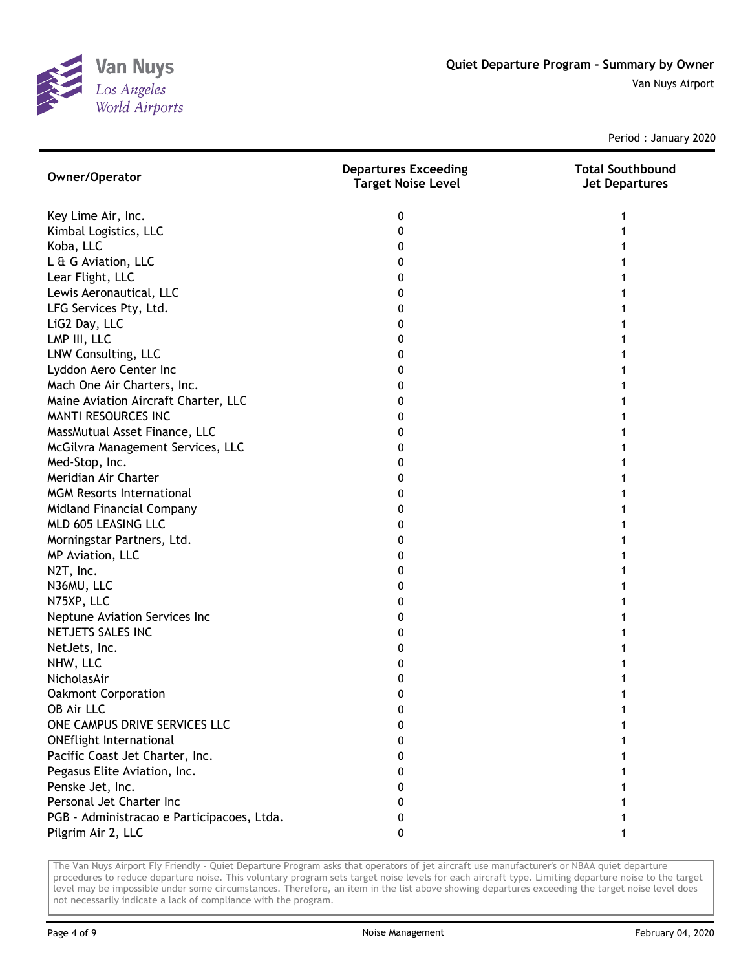

Period : January 2020

| Owner/Operator                             | <b>Departures Exceeding</b><br><b>Target Noise Level</b> | <b>Total Southbound</b><br><b>Jet Departures</b> |
|--------------------------------------------|----------------------------------------------------------|--------------------------------------------------|
| Key Lime Air, Inc.                         | 0                                                        |                                                  |
| Kimbal Logistics, LLC                      | 0                                                        |                                                  |
| Koba, LLC                                  | 0                                                        |                                                  |
| L & G Aviation, LLC                        | 0                                                        |                                                  |
| Lear Flight, LLC                           | 0                                                        |                                                  |
| Lewis Aeronautical, LLC                    | 0                                                        |                                                  |
| LFG Services Pty, Ltd.                     | 0                                                        |                                                  |
| LiG2 Day, LLC                              | 0                                                        |                                                  |
| LMP III, LLC                               | 0                                                        |                                                  |
| LNW Consulting, LLC                        | 0                                                        |                                                  |
| Lyddon Aero Center Inc                     | 0                                                        |                                                  |
| Mach One Air Charters, Inc.                | 0                                                        |                                                  |
| Maine Aviation Aircraft Charter, LLC       | 0                                                        |                                                  |
| MANTI RESOURCES INC                        | 0                                                        |                                                  |
| MassMutual Asset Finance, LLC              | 0                                                        |                                                  |
| McGilvra Management Services, LLC          | 0                                                        |                                                  |
| Med-Stop, Inc.                             | 0                                                        |                                                  |
| Meridian Air Charter                       | 0                                                        |                                                  |
| <b>MGM Resorts International</b>           | 0                                                        |                                                  |
| Midland Financial Company                  | 0                                                        |                                                  |
| MLD 605 LEASING LLC                        | 0                                                        |                                                  |
| Morningstar Partners, Ltd.                 | 0                                                        |                                                  |
| MP Aviation, LLC                           | 0                                                        |                                                  |
| N2T, Inc.                                  | 0                                                        |                                                  |
| N36MU, LLC                                 | 0                                                        |                                                  |
| N75XP, LLC                                 | 0                                                        |                                                  |
| Neptune Aviation Services Inc              | 0                                                        |                                                  |
| NETJETS SALES INC                          | 0                                                        |                                                  |
| NetJets, Inc.                              | 0                                                        |                                                  |
| NHW, LLC                                   | 0                                                        |                                                  |
| NicholasAir                                | 0                                                        |                                                  |
| <b>Oakmont Corporation</b>                 | 0                                                        |                                                  |
| OB Air LLC                                 | 0                                                        |                                                  |
| ONE CAMPUS DRIVE SERVICES LLC              | 0                                                        |                                                  |
| <b>ONEflight International</b>             | 0                                                        |                                                  |
| Pacific Coast Jet Charter, Inc.            | 0                                                        |                                                  |
| Pegasus Elite Aviation, Inc.               | 0                                                        |                                                  |
| Penske Jet, Inc.                           | 0                                                        |                                                  |
| Personal Jet Charter Inc                   | 0                                                        |                                                  |
| PGB - Administracao e Participacoes, Ltda. | 0                                                        |                                                  |
| Pilgrim Air 2, LLC                         | 0                                                        |                                                  |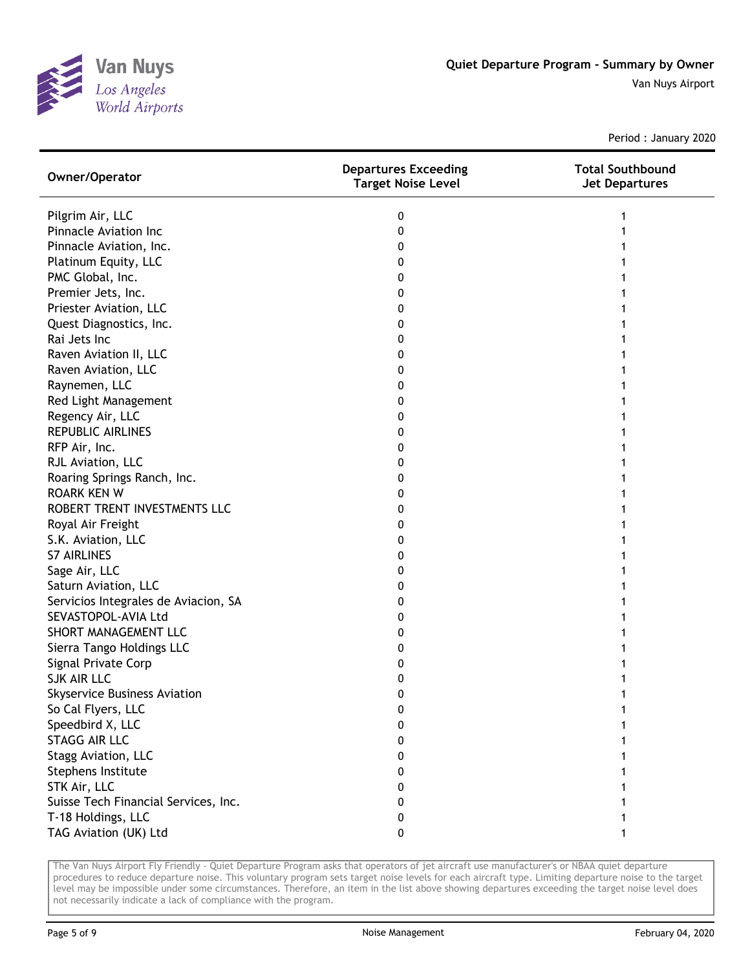

Period : January 2020

| Owner/Operator                       | <b>Departures Exceeding</b><br><b>Target Noise Level</b> | <b>Total Southbound</b><br><b>Jet Departures</b> |
|--------------------------------------|----------------------------------------------------------|--------------------------------------------------|
| Pilgrim Air, LLC                     | 0                                                        |                                                  |
| <b>Pinnacle Aviation Inc</b>         | 0                                                        |                                                  |
| Pinnacle Aviation, Inc.              | 0                                                        |                                                  |
| Platinum Equity, LLC                 | 0                                                        |                                                  |
| PMC Global, Inc.                     | 0                                                        |                                                  |
| Premier Jets, Inc.                   | 0                                                        |                                                  |
| Priester Aviation, LLC               | 0                                                        |                                                  |
| Quest Diagnostics, Inc.              | 0                                                        |                                                  |
| Rai Jets Inc                         | 0                                                        |                                                  |
| Raven Aviation II, LLC               | 0                                                        |                                                  |
| Raven Aviation, LLC                  | 0                                                        |                                                  |
| Raynemen, LLC                        | 0                                                        |                                                  |
| Red Light Management                 | 0                                                        |                                                  |
| Regency Air, LLC                     | 0                                                        |                                                  |
| <b>REPUBLIC AIRLINES</b>             | 0                                                        |                                                  |
| RFP Air, Inc.                        | 0                                                        |                                                  |
| RJL Aviation, LLC                    | 0                                                        |                                                  |
| Roaring Springs Ranch, Inc.          | 0                                                        |                                                  |
| <b>ROARK KEN W</b>                   | 0                                                        |                                                  |
| ROBERT TRENT INVESTMENTS LLC         | 0                                                        |                                                  |
| Royal Air Freight                    | 0                                                        |                                                  |
| S.K. Aviation, LLC                   | 0                                                        |                                                  |
| <b>S7 AIRLINES</b>                   | 0                                                        |                                                  |
| Sage Air, LLC                        | 0                                                        |                                                  |
| Saturn Aviation, LLC                 | 0                                                        |                                                  |
| Servicios Integrales de Aviacion, SA | 0                                                        |                                                  |
| SEVASTOPOL-AVIA Ltd                  | 0                                                        |                                                  |
| SHORT MANAGEMENT LLC                 | 0                                                        |                                                  |
| Sierra Tango Holdings LLC            | 0                                                        |                                                  |
| Signal Private Corp                  | 0                                                        |                                                  |
| <b>SJK AIR LLC</b>                   | 0                                                        |                                                  |
| <b>Skyservice Business Aviation</b>  | 0                                                        |                                                  |
| So Cal Flyers, LLC                   | 0                                                        |                                                  |
| Speedbird X, LLC                     | 0                                                        |                                                  |
| <b>STAGG AIR LLC</b>                 | 0                                                        |                                                  |
| Stagg Aviation, LLC                  | 0                                                        |                                                  |
| Stephens Institute                   | 0                                                        |                                                  |
| STK Air, LLC                         | 0                                                        |                                                  |
| Suisse Tech Financial Services, Inc. | 0                                                        |                                                  |
| T-18 Holdings, LLC                   | 0                                                        |                                                  |
| TAG Aviation (UK) Ltd                | 0                                                        |                                                  |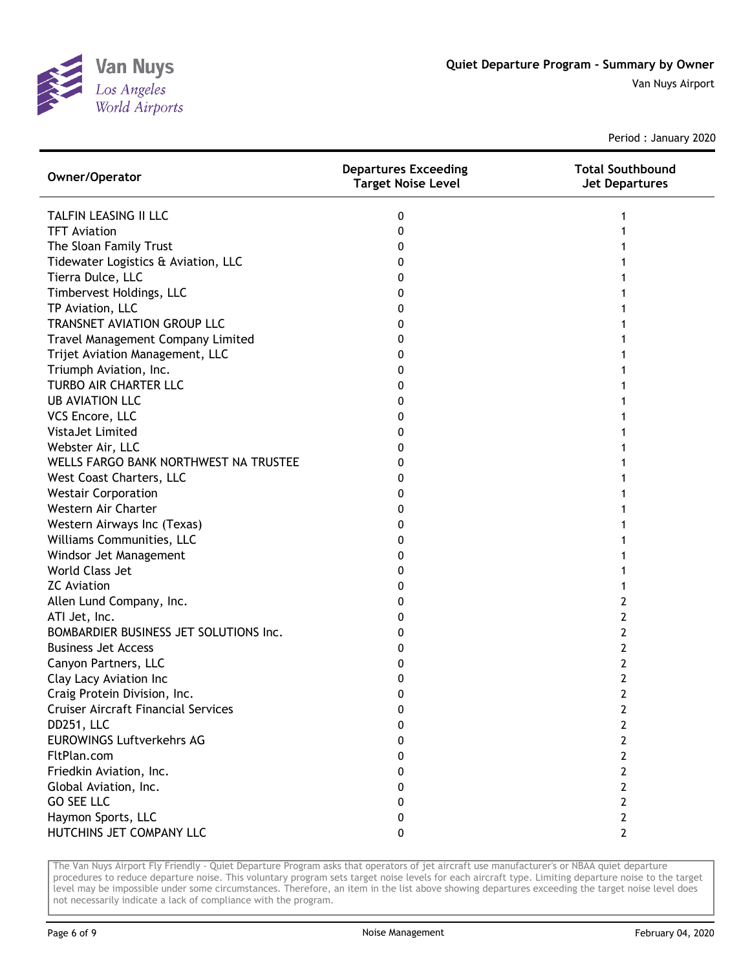

Period : January 2020

| Owner/Operator                             | <b>Departures Exceeding</b><br><b>Target Noise Level</b> | <b>Total Southbound</b><br><b>Jet Departures</b> |
|--------------------------------------------|----------------------------------------------------------|--------------------------------------------------|
| TALFIN LEASING II LLC                      | 0                                                        |                                                  |
| <b>TFT Aviation</b>                        | 0                                                        |                                                  |
| The Sloan Family Trust                     | 0                                                        |                                                  |
| Tidewater Logistics & Aviation, LLC        | 0                                                        |                                                  |
| Tierra Dulce, LLC                          | 0                                                        |                                                  |
| Timbervest Holdings, LLC                   | 0                                                        |                                                  |
| TP Aviation, LLC                           | 0                                                        |                                                  |
| TRANSNET AVIATION GROUP LLC                | 0                                                        |                                                  |
| Travel Management Company Limited          | 0                                                        |                                                  |
| Trijet Aviation Management, LLC            | 0                                                        |                                                  |
| Triumph Aviation, Inc.                     | 0                                                        |                                                  |
| TURBO AIR CHARTER LLC                      | 0                                                        |                                                  |
| <b>UB AVIATION LLC</b>                     | 0                                                        |                                                  |
| VCS Encore, LLC                            | 0                                                        |                                                  |
| <b>VistaJet Limited</b>                    | 0                                                        |                                                  |
| Webster Air, LLC                           | 0                                                        |                                                  |
| WELLS FARGO BANK NORTHWEST NA TRUSTEE      | 0                                                        |                                                  |
| West Coast Charters, LLC                   | 0                                                        |                                                  |
| <b>Westair Corporation</b>                 | 0                                                        |                                                  |
| Western Air Charter                        | 0                                                        |                                                  |
| Western Airways Inc (Texas)                | 0                                                        |                                                  |
| Williams Communities, LLC                  | 0                                                        |                                                  |
| Windsor Jet Management                     | 0                                                        |                                                  |
| World Class Jet                            | 0                                                        |                                                  |
| <b>ZC</b> Aviation                         | 0                                                        |                                                  |
| Allen Lund Company, Inc.                   | 0                                                        | 2                                                |
| ATI Jet, Inc.                              | 0                                                        | 2                                                |
| BOMBARDIER BUSINESS JET SOLUTIONS Inc.     | 0                                                        | 2                                                |
| <b>Business Jet Access</b>                 | 0                                                        | 2                                                |
| Canyon Partners, LLC                       | 0                                                        | 2                                                |
| Clay Lacy Aviation Inc                     | 0                                                        | 2                                                |
| Craig Protein Division, Inc.               | 0                                                        | 2                                                |
| <b>Cruiser Aircraft Financial Services</b> | 0                                                        | 2                                                |
| DD251, LLC                                 | 0                                                        | 2                                                |
| <b>EUROWINGS Luftverkehrs AG</b>           | 0                                                        | 2                                                |
| FltPlan.com                                | 0                                                        | 2                                                |
| Friedkin Aviation, Inc.                    | 0                                                        | 2                                                |
| Global Aviation, Inc.                      | 0                                                        | 2                                                |
| <b>GO SEE LLC</b>                          | 0                                                        | 2                                                |
| Haymon Sports, LLC                         | 0                                                        | 2                                                |
| HUTCHINS JET COMPANY LLC                   | 0                                                        | $\mathbf{2}$                                     |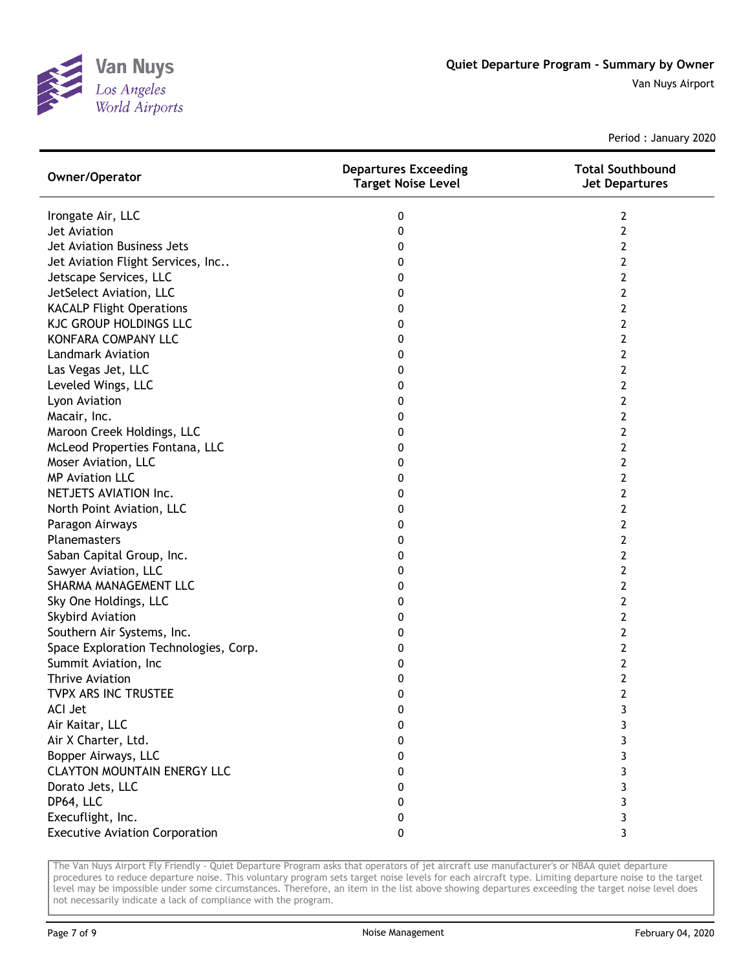

Period : January 2020

| Owner/Operator                        | <b>Departures Exceeding</b><br><b>Target Noise Level</b> | <b>Total Southbound</b><br><b>Jet Departures</b> |
|---------------------------------------|----------------------------------------------------------|--------------------------------------------------|
| Irongate Air, LLC                     | 0                                                        | 2                                                |
| Jet Aviation                          | 0                                                        | 2                                                |
| Jet Aviation Business Jets            | 0                                                        | 2                                                |
| Jet Aviation Flight Services, Inc     | 0                                                        | 2                                                |
| Jetscape Services, LLC                | 0                                                        | 2                                                |
| JetSelect Aviation, LLC               | 0                                                        | 2                                                |
| <b>KACALP Flight Operations</b>       | 0                                                        | 2                                                |
| <b>KJC GROUP HOLDINGS LLC</b>         | 0                                                        | 2                                                |
| KONFARA COMPANY LLC                   | 0                                                        | 2                                                |
| <b>Landmark Aviation</b>              | 0                                                        | 2                                                |
| Las Vegas Jet, LLC                    | 0                                                        | 2                                                |
| Leveled Wings, LLC                    | 0                                                        | 2                                                |
| Lyon Aviation                         | 0                                                        | 2                                                |
| Macair, Inc.                          | 0                                                        | 2                                                |
| Maroon Creek Holdings, LLC            | 0                                                        | 2                                                |
| McLeod Properties Fontana, LLC        | 0                                                        | 2                                                |
| Moser Aviation, LLC                   | 0                                                        | 2                                                |
| <b>MP Aviation LLC</b>                | 0                                                        | 2                                                |
| NETJETS AVIATION Inc.                 | 0                                                        | 2                                                |
| North Point Aviation, LLC             | 0                                                        | 2                                                |
| Paragon Airways                       | 0                                                        | 2                                                |
| Planemasters                          | 0                                                        | 2                                                |
| Saban Capital Group, Inc.             | 0                                                        | 2                                                |
| Sawyer Aviation, LLC                  | 0                                                        | 2                                                |
| SHARMA MANAGEMENT LLC                 | 0                                                        | 2                                                |
| Sky One Holdings, LLC                 | 0                                                        | 2                                                |
| <b>Skybird Aviation</b>               | 0                                                        | 2                                                |
| Southern Air Systems, Inc.            | 0                                                        | 2                                                |
| Space Exploration Technologies, Corp. | 0                                                        | 2                                                |
| Summit Aviation, Inc                  | 0                                                        | 2                                                |
| <b>Thrive Aviation</b>                | 0                                                        | 2                                                |
| TVPX ARS INC TRUSTEE                  | 0                                                        | $\overline{2}$                                   |
| <b>ACI Jet</b>                        | 0                                                        | 3                                                |
| Air Kaitar, LLC                       | 0                                                        | 3                                                |
| Air X Charter, Ltd.                   | 0                                                        | 3                                                |
| Bopper Airways, LLC                   | 0                                                        | 3                                                |
| <b>CLAYTON MOUNTAIN ENERGY LLC</b>    | 0                                                        | 3                                                |
| Dorato Jets, LLC                      | 0                                                        | 3                                                |
| DP64, LLC                             | 0                                                        | 3                                                |
| Execuflight, Inc.                     | 0                                                        | 3                                                |
| <b>Executive Aviation Corporation</b> | 0                                                        | 3                                                |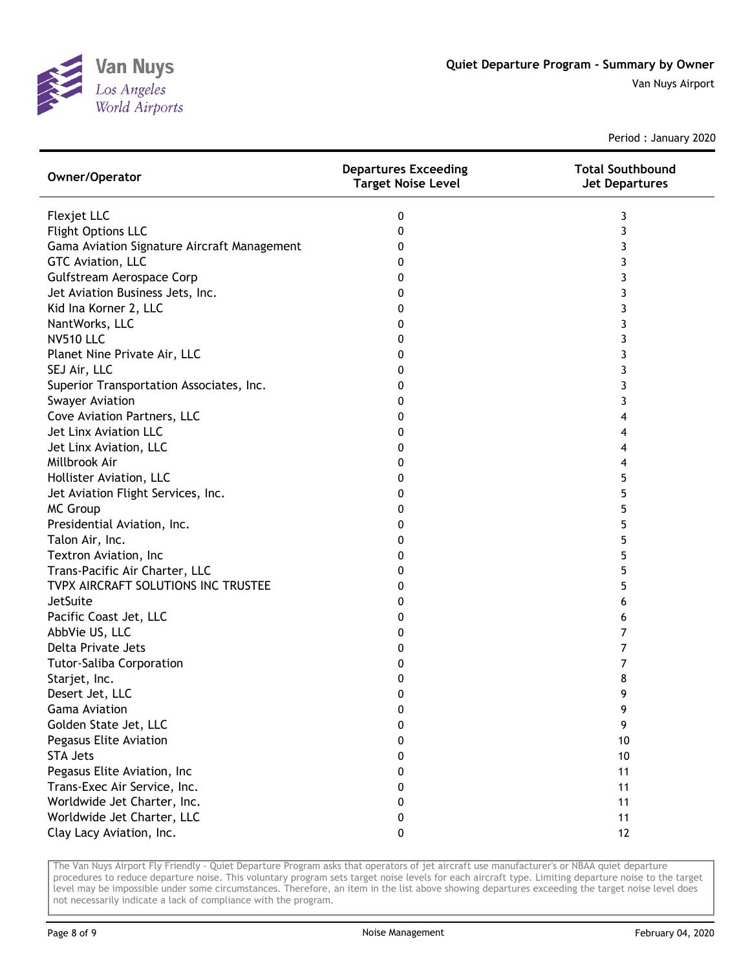

Period : January 2020

| Owner/Operator                              | <b>Departures Exceeding</b><br><b>Target Noise Level</b> | <b>Total Southbound</b><br><b>Jet Departures</b> |
|---------------------------------------------|----------------------------------------------------------|--------------------------------------------------|
| Flexjet LLC                                 | 0                                                        | 3                                                |
| <b>Flight Options LLC</b>                   | 0                                                        | 3                                                |
| Gama Aviation Signature Aircraft Management | 0                                                        | 3                                                |
| GTC Aviation, LLC                           | 0                                                        | 3                                                |
| Gulfstream Aerospace Corp                   | 0                                                        | 3                                                |
| Jet Aviation Business Jets, Inc.            | 0                                                        | 3                                                |
| Kid Ina Korner 2, LLC                       | 0                                                        | 3                                                |
| NantWorks, LLC                              | 0                                                        | 3                                                |
| <b>NV510 LLC</b>                            | 0                                                        | 3                                                |
| Planet Nine Private Air, LLC                | 0                                                        | 3                                                |
| SEJ Air, LLC                                | 0                                                        | 3                                                |
| Superior Transportation Associates, Inc.    | 0                                                        | 3                                                |
| <b>Swayer Aviation</b>                      | 0                                                        | 3                                                |
| Cove Aviation Partners, LLC                 | 0                                                        | 4                                                |
| Jet Linx Aviation LLC                       | 0                                                        | 4                                                |
| Jet Linx Aviation, LLC                      | 0                                                        | 4                                                |
| Millbrook Air                               | 0                                                        | 4                                                |
| Hollister Aviation, LLC                     | 0                                                        | 5                                                |
| Jet Aviation Flight Services, Inc.          | 0                                                        | 5                                                |
| <b>MC Group</b>                             | 0                                                        | 5                                                |
| Presidential Aviation, Inc.                 | 0                                                        | 5                                                |
| Talon Air, Inc.                             | 0                                                        | 5                                                |
| Textron Aviation, Inc                       | 0                                                        | 5                                                |
| Trans-Pacific Air Charter, LLC              | 0                                                        | 5                                                |
| TVPX AIRCRAFT SOLUTIONS INC TRUSTEE         | 0                                                        | 5                                                |
| JetSuite                                    | 0                                                        | 6                                                |
| Pacific Coast Jet, LLC                      | 0                                                        | 6                                                |
| AbbVie US, LLC                              | 0                                                        | 7                                                |
| Delta Private Jets                          | 0                                                        | 7                                                |
| Tutor-Saliba Corporation                    | 0                                                        | 7                                                |
| Starjet, Inc.                               | 0                                                        | 8                                                |
| Desert Jet, LLC                             | 0                                                        | 9                                                |
| <b>Gama Aviation</b>                        | 0                                                        | 9                                                |
| Golden State Jet, LLC                       | 0                                                        | 9                                                |
| Pegasus Elite Aviation                      | 0                                                        | 10                                               |
| <b>STA Jets</b>                             | 0                                                        | 10                                               |
| Pegasus Elite Aviation, Inc                 | 0                                                        | 11                                               |
| Trans-Exec Air Service, Inc.                | 0                                                        | 11                                               |
| Worldwide Jet Charter, Inc.                 | 0                                                        | 11                                               |
| Worldwide Jet Charter, LLC                  | 0                                                        | 11                                               |
| Clay Lacy Aviation, Inc.                    | 0                                                        | 12                                               |